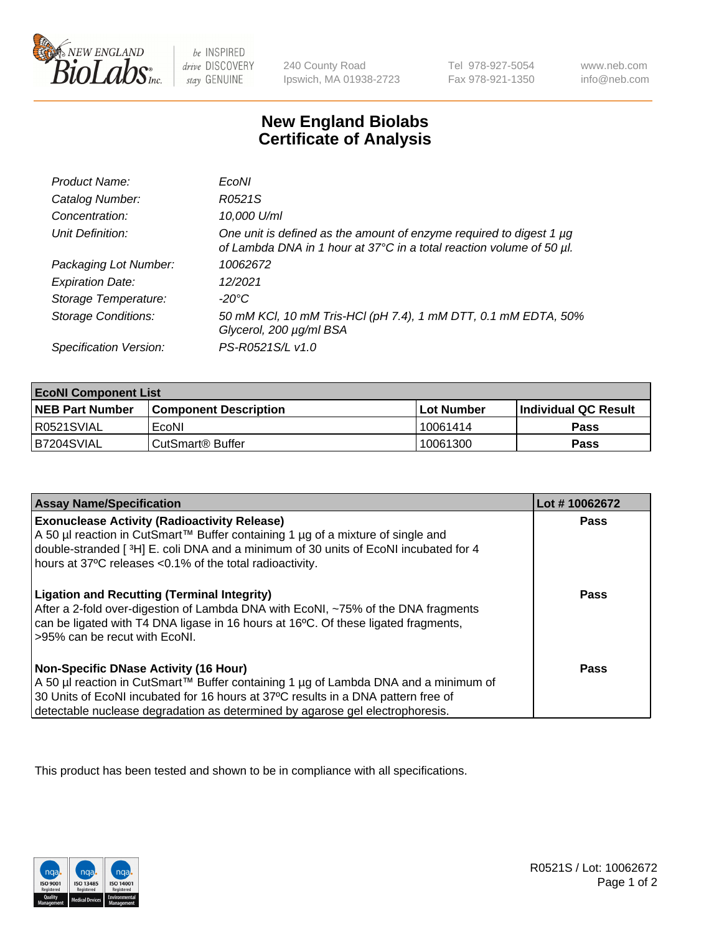

 $be$  INSPIRED drive DISCOVERY stay GENUINE

240 County Road Ipswich, MA 01938-2723 Tel 978-927-5054 Fax 978-921-1350 www.neb.com info@neb.com

## **New England Biolabs Certificate of Analysis**

| Product Name:              | EcoNI                                                                                                                                       |
|----------------------------|---------------------------------------------------------------------------------------------------------------------------------------------|
| Catalog Number:            | R0521S                                                                                                                                      |
| Concentration:             | 10,000 U/ml                                                                                                                                 |
| Unit Definition:           | One unit is defined as the amount of enzyme required to digest 1 µg<br>of Lambda DNA in 1 hour at 37°C in a total reaction volume of 50 µl. |
| Packaging Lot Number:      | 10062672                                                                                                                                    |
| <b>Expiration Date:</b>    | 12/2021                                                                                                                                     |
| Storage Temperature:       | $-20^{\circ}$ C                                                                                                                             |
| <b>Storage Conditions:</b> | 50 mM KCl, 10 mM Tris-HCl (pH 7.4), 1 mM DTT, 0.1 mM EDTA, 50%<br>Glycerol, 200 µg/ml BSA                                                   |
| Specification Version:     | PS-R0521S/L v1.0                                                                                                                            |

| <b>EcoNI Component List</b> |                         |              |                             |  |  |
|-----------------------------|-------------------------|--------------|-----------------------------|--|--|
| <b>NEB Part Number</b>      | l Component Description | l Lot Number | <b>Individual QC Result</b> |  |  |
| R0521SVIAL                  | EcoNI                   | 10061414     | <b>Pass</b>                 |  |  |
| B7204SVIAL                  | l CutSmart® Buffer      | 10061300     | Pass                        |  |  |

| <b>Assay Name/Specification</b>                                                                                                                                                                                                                                                                           | Lot #10062672 |
|-----------------------------------------------------------------------------------------------------------------------------------------------------------------------------------------------------------------------------------------------------------------------------------------------------------|---------------|
| <b>Exonuclease Activity (Radioactivity Release)</b><br>A 50 µl reaction in CutSmart™ Buffer containing 1 µg of a mixture of single and<br>double-stranded [3H] E. coli DNA and a minimum of 30 units of EcoNI incubated for 4<br>hours at 37°C releases <0.1% of the total radioactivity.                 | Pass          |
| <b>Ligation and Recutting (Terminal Integrity)</b><br>After a 2-fold over-digestion of Lambda DNA with EcoNI, ~75% of the DNA fragments<br>can be ligated with T4 DNA ligase in 16 hours at 16°C. Of these ligated fragments,<br>>95% can be recut with EcoNI.                                            | Pass          |
| <b>Non-Specific DNase Activity (16 Hour)</b><br>A 50 µl reaction in CutSmart™ Buffer containing 1 µg of Lambda DNA and a minimum of<br>30 Units of EcoNI incubated for 16 hours at 37°C results in a DNA pattern free of<br>detectable nuclease degradation as determined by agarose gel electrophoresis. | <b>Pass</b>   |

This product has been tested and shown to be in compliance with all specifications.